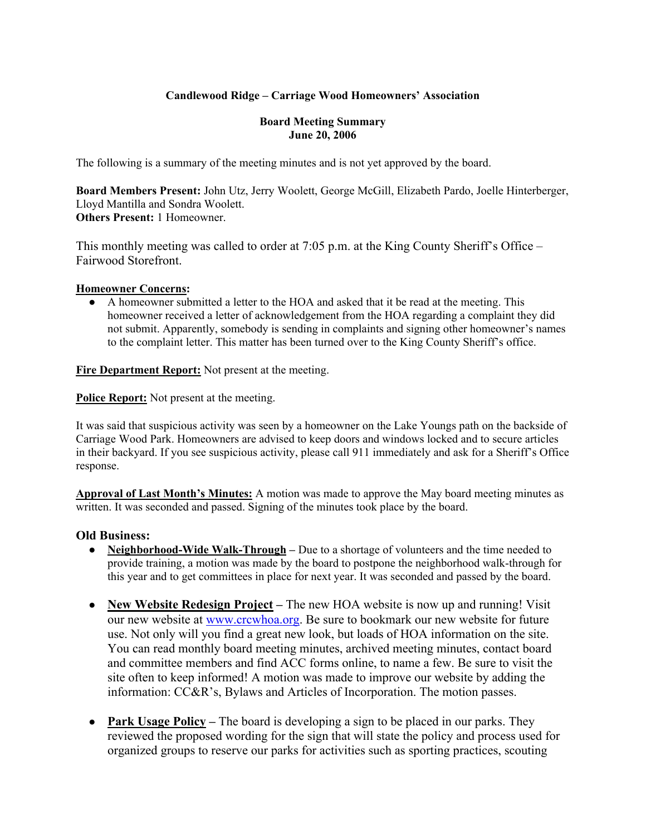# **Candlewood Ridge – Carriage Wood Homeowners' Association**

#### **Board Meeting Summary June 20, 2006**

The following is a summary of the meeting minutes and is not yet approved by the board.

**Board Members Present:** John Utz, Jerry Woolett, George McGill, Elizabeth Pardo, Joelle Hinterberger, Lloyd Mantilla and Sondra Woolett. **Others Present:** 1 Homeowner.

This monthly meeting was called to order at 7:05 p.m. at the King County Sheriff's Office – Fairwood Storefront.

#### **Homeowner Concerns:**

● A homeowner submitted a letter to the HOA and asked that it be read at the meeting. This homeowner received a letter of acknowledgement from the HOA regarding a complaint they did not submit. Apparently, somebody is sending in complaints and signing other homeowner's names to the complaint letter. This matter has been turned over to the King County Sheriff's office.

**Fire Department Report:** Not present at the meeting.

**Police Report:** Not present at the meeting.

It was said that suspicious activity was seen by a homeowner on the Lake Youngs path on the backside of Carriage Wood Park. Homeowners are advised to keep doors and windows locked and to secure articles in their backyard. If you see suspicious activity, please call 911 immediately and ask for a Sheriff's Office response.

**Approval of Last Month's Minutes:** A motion was made to approve the May board meeting minutes as written. It was seconded and passed. Signing of the minutes took place by the board.

### **Old Business:**

- **•** Neighborhood-Wide Walk-Through Due to a shortage of volunteers and the time needed to provide training, a motion was made by the board to postpone the neighborhood walk-through for this year and to get committees in place for next year. It was seconded and passed by the board.
- **New Website Redesign Project** The new HOA website is now up and running! Visit our new website at www.crcwhoa.org. Be sure to bookmark our new website for future use. Not only will you find a great new look, but loads of HOA information on the site. You can read monthly board meeting minutes, archived meeting minutes, contact board and committee members and find ACC forms online, to name a few. Be sure to visit the site often to keep informed! A motion was made to improve our website by adding the information: CC&R's, Bylaws and Articles of Incorporation. The motion passes.
- **Park Usage Policy** The board is developing a sign to be placed in our parks. They reviewed the proposed wording for the sign that will state the policy and process used for organized groups to reserve our parks for activities such as sporting practices, scouting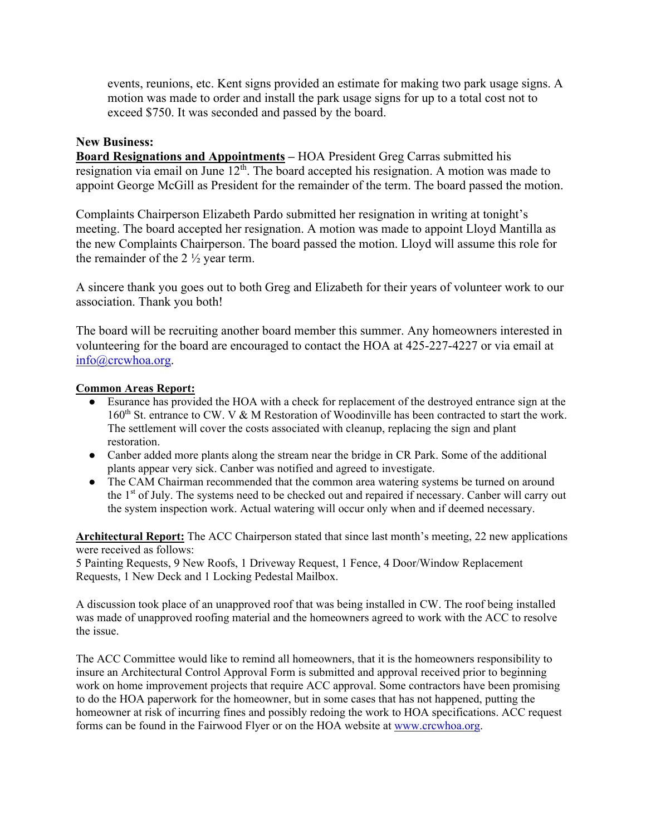events, reunions, etc. Kent signs provided an estimate for making two park usage signs. A motion was made to order and install the park usage signs for up to a total cost not to exceed \$750. It was seconded and passed by the board.

#### **New Business:**

**Board Resignations and Appointments –** HOA President Greg Carras submitted his resignation via email on June  $12<sup>th</sup>$ . The board accepted his resignation. A motion was made to appoint George McGill as President for the remainder of the term. The board passed the motion.

Complaints Chairperson Elizabeth Pardo submitted her resignation in writing at tonight's meeting. The board accepted her resignation. A motion was made to appoint Lloyd Mantilla as the new Complaints Chairperson. The board passed the motion. Lloyd will assume this role for the remainder of the 2 ½ year term.

A sincere thank you goes out to both Greg and Elizabeth for their years of volunteer work to our association. Thank you both!

The board will be recruiting another board member this summer. Any homeowners interested in volunteering for the board are encouraged to contact the HOA at 425-227-4227 or via email at info@crcwhoa.org.

#### **Common Areas Report:**

- Esurance has provided the HOA with a check for replacement of the destroyed entrance sign at the 160<sup>th</sup> St. entrance to CW. V & M Restoration of Woodinville has been contracted to start the work. The settlement will cover the costs associated with cleanup, replacing the sign and plant restoration.
- Canber added more plants along the stream near the bridge in CR Park. Some of the additional plants appear very sick. Canber was notified and agreed to investigate.
- The CAM Chairman recommended that the common area watering systems be turned on around the 1<sup>st</sup> of July. The systems need to be checked out and repaired if necessary. Canber will carry out the system inspection work. Actual watering will occur only when and if deemed necessary.

**Architectural Report:** The ACC Chairperson stated that since last month's meeting, 22 new applications were received as follows:

5 Painting Requests, 9 New Roofs, 1 Driveway Request, 1 Fence, 4 Door/Window Replacement Requests, 1 New Deck and 1 Locking Pedestal Mailbox.

A discussion took place of an unapproved roof that was being installed in CW. The roof being installed was made of unapproved roofing material and the homeowners agreed to work with the ACC to resolve the issue.

The ACC Committee would like to remind all homeowners, that it is the homeowners responsibility to insure an Architectural Control Approval Form is submitted and approval received prior to beginning work on home improvement projects that require ACC approval. Some contractors have been promising to do the HOA paperwork for the homeowner, but in some cases that has not happened, putting the homeowner at risk of incurring fines and possibly redoing the work to HOA specifications. ACC request forms can be found in the Fairwood Flyer or on the HOA website at www.crcwhoa.org.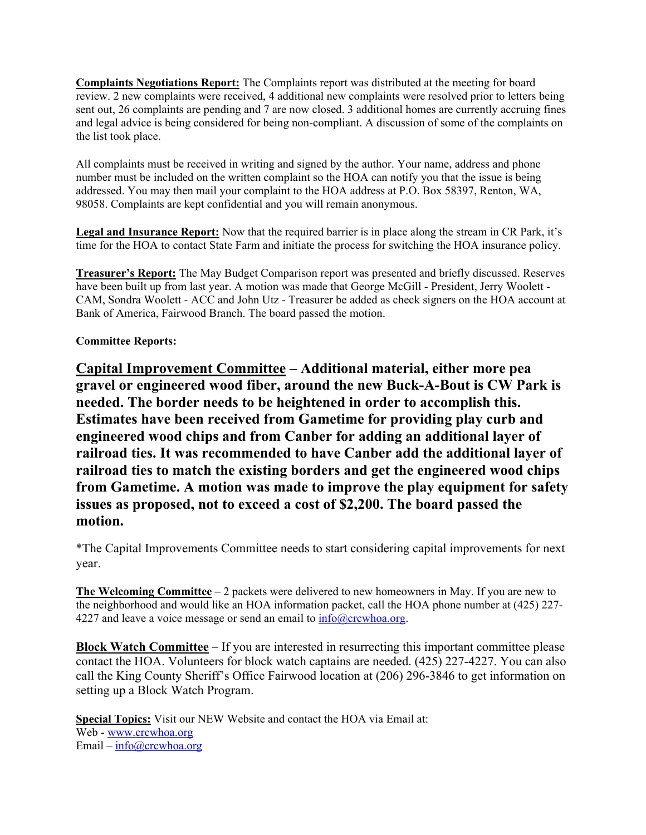**Complaints Negotiations Report:** The Complaints report was distributed at the meeting for board review. 2 new complaints were received, 4 additional new complaints were resolved prior to letters being sent out, 26 complaints are pending and 7 are now closed. 3 additional homes are currently accruing fines and legal advice is being considered for being non-compliant. A discussion of some of the complaints on the list took place.

All complaints must be received in writing and signed by the author. Your name, address and phone number must be included on the written complaint so the HOA can notify you that the issue is being addressed. You may then mail your complaint to the HOA address at P.O. Box 58397, Renton, WA, 98058. Complaints are kept confidential and you will remain anonymous.

**Legal and Insurance Report:** Now that the required barrier is in place along the stream in CR Park, it's time for the HOA to contact State Farm and initiate the process for switching the HOA insurance policy.

**Treasurer's Report:** The May Budget Comparison report was presented and briefly discussed. Reserves have been built up from last year. A motion was made that George McGill - President, Jerry Woolett - CAM, Sondra Woolett - ACC and John Utz - Treasurer be added as check signers on the HOA account at Bank of America, Fairwood Branch. The board passed the motion.

### **Committee Reports:**

**Capital Improvement Committee – Additional material, either more pea gravel or engineered wood fiber, around the new Buck-A-Bout is CW Park is needed. The border needs to be heightened in order to accomplish this. Estimates have been received from Gametime for providing play curb and engineered wood chips and from Canber for adding an additional layer of railroad ties. It was recommended to have Canber add the additional layer of railroad ties to match the existing borders and get the engineered wood chips from Gametime. A motion was made to improve the play equipment for safety issues as proposed, not to exceed a cost of \$2,200. The board passed the motion.** 

\*The Capital Improvements Committee needs to start considering capital improvements for next year.

**The Welcoming Committee** – 2 packets were delivered to new homeowners in May. If you are new to the neighborhood and would like an HOA information packet, call the HOA phone number at (425) 227- 4227 and leave a voice message or send an email to  $info(a)$ crcwhoa.org.

**Block Watch Committee** – If you are interested in resurrecting this important committee please contact the HOA. Volunteers for block watch captains are needed. (425) 227-4227. You can also call the King County Sheriff's Office Fairwood location at (206) 296-3846 to get information on setting up a Block Watch Program.

**Special Topics:** Visit our NEW Website and contact the HOA via Email at: Web - www.crcwhoa.org Email – info@crcwhoa.org